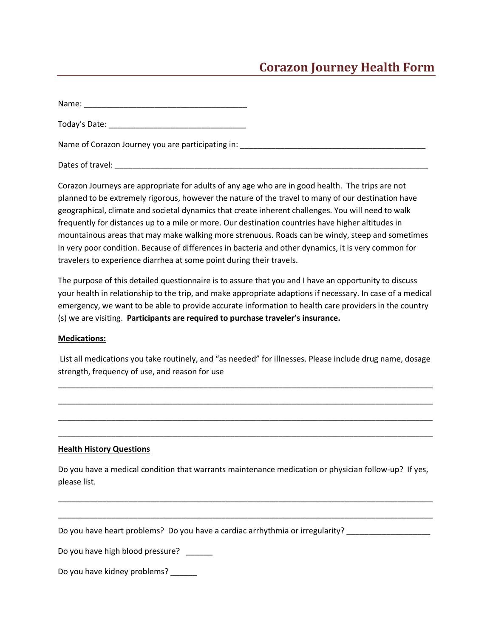## **Corazon Journey Health Form**

Name: \_\_\_\_\_\_\_\_\_\_\_\_\_\_\_\_\_\_\_\_\_\_\_\_\_\_\_\_\_\_\_\_\_\_\_\_\_

Today's Date: \_\_\_\_\_\_\_\_\_\_\_\_\_\_\_\_\_\_\_\_\_\_\_\_\_\_\_\_\_\_\_

Name of Corazon Journey you are participating in: \_\_\_\_\_\_\_\_\_\_\_\_\_\_\_\_\_\_\_\_\_\_\_\_\_\_\_\_\_\_

Dates of travel: Letter that the set of the set of the set of the set of the set of the set of the set of the set of the set of the set of the set of the set of the set of the set of the set of the set of the set of the se

Corazon Journeys are appropriate for adults of any age who are in good health. The trips are not planned to be extremely rigorous, however the nature of the travel to many of our destination have geographical, climate and societal dynamics that create inherent challenges. You will need to walk frequently for distances up to a mile or more. Our destination countries have higher altitudes in mountainous areas that may make walking more strenuous. Roads can be windy, steep and sometimes in very poor condition. Because of differences in bacteria and other dynamics, it is very common for travelers to experience diarrhea at some point during their travels.

The purpose of this detailed questionnaire is to assure that you and I have an opportunity to discuss your health in relationship to the trip, and make appropriate adaptions if necessary. In case of a medical emergency, we want to be able to provide accurate information to health care providers in the country (s) we are visiting. **Participants are required to purchase traveler's insurance.**

## **Medications:**

List all medications you take routinely, and "as needed" for illnesses. Please include drug name, dosage strength, frequency of use, and reason for use

\_\_\_\_\_\_\_\_\_\_\_\_\_\_\_\_\_\_\_\_\_\_\_\_\_\_\_\_\_\_\_\_\_\_\_\_\_\_\_\_\_\_\_\_\_\_\_\_\_\_\_\_\_\_\_\_\_\_\_\_\_\_\_\_\_\_\_\_\_\_\_\_\_\_\_\_\_\_\_\_\_\_\_\_\_

\_\_\_\_\_\_\_\_\_\_\_\_\_\_\_\_\_\_\_\_\_\_\_\_\_\_\_\_\_\_\_\_\_\_\_\_\_\_\_\_\_\_\_\_\_\_\_\_\_\_\_\_\_\_\_\_\_\_\_\_\_\_\_\_\_\_\_\_\_\_\_\_\_\_\_\_\_\_\_\_\_\_\_\_\_

\_\_\_\_\_\_\_\_\_\_\_\_\_\_\_\_\_\_\_\_\_\_\_\_\_\_\_\_\_\_\_\_\_\_\_\_\_\_\_\_\_\_\_\_\_\_\_\_\_\_\_\_\_\_\_\_\_\_\_\_\_\_\_\_\_\_\_\_\_\_\_\_\_\_\_\_\_\_\_\_\_\_\_\_\_

\_\_\_\_\_\_\_\_\_\_\_\_\_\_\_\_\_\_\_\_\_\_\_\_\_\_\_\_\_\_\_\_\_\_\_\_\_\_\_\_\_\_\_\_\_\_\_\_\_\_\_\_\_\_\_\_\_\_\_\_\_\_\_\_\_\_\_\_\_\_\_\_\_\_\_\_\_\_\_\_\_\_\_\_\_

## **Health History Questions**

Do you have a medical condition that warrants maintenance medication or physician follow‐up? If yes, please list.

\_\_\_\_\_\_\_\_\_\_\_\_\_\_\_\_\_\_\_\_\_\_\_\_\_\_\_\_\_\_\_\_\_\_\_\_\_\_\_\_\_\_\_\_\_\_\_\_\_\_\_\_\_\_\_\_\_\_\_\_\_\_\_\_\_\_\_\_\_\_\_\_\_\_\_\_\_\_\_\_\_\_\_\_\_

\_\_\_\_\_\_\_\_\_\_\_\_\_\_\_\_\_\_\_\_\_\_\_\_\_\_\_\_\_\_\_\_\_\_\_\_\_\_\_\_\_\_\_\_\_\_\_\_\_\_\_\_\_\_\_\_\_\_\_\_\_\_\_\_\_\_\_\_\_\_\_\_\_\_\_\_\_\_\_\_\_\_\_\_\_

Do you have heart problems? Do you have a cardiac arrhythmia or irregularity?

Do you have high blood pressure?

Do you have kidney problems? \_\_\_\_\_\_